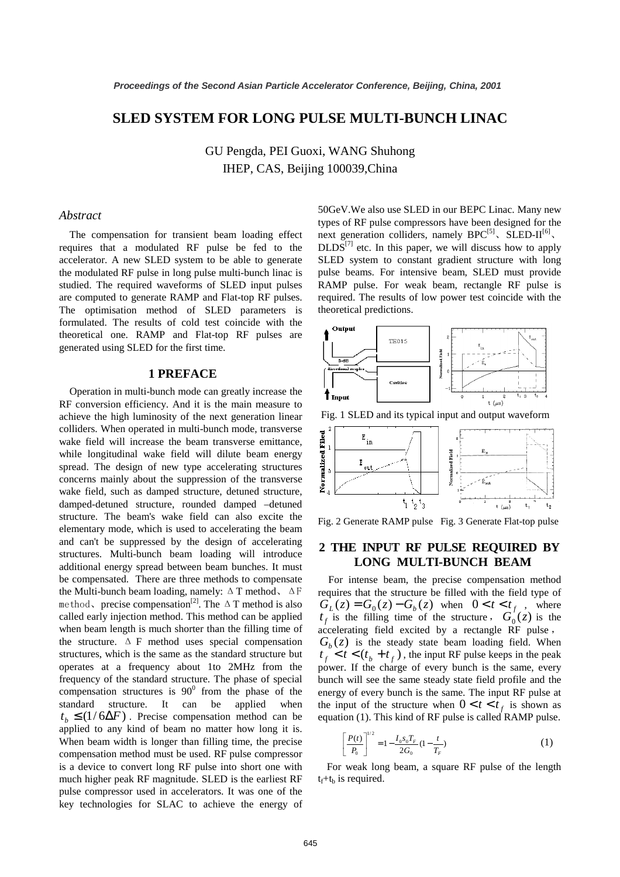# **SLED SYSTEM FOR LONG PULSE MULTI-BUNCH LINAC**

GU Pengda, PEI Guoxi, WANG Shuhong IHEP, CAS, Beijing 100039,China

## *Abstract*

The compensation for transient beam loading effect requires that a modulated RF pulse be fed to the accelerator. A new SLED system to be able to generate the modulated RF pulse in long pulse multi-bunch linac is studied. The required waveforms of SLED input pulses are computed to generate RAMP and Flat-top RF pulses. The optimisation method of SLED parameters is formulated. The results of cold test coincide with the theoretical one. RAMP and Flat-top RF pulses are generated using SLED for the first time.

### **1 PREFACE**

Operation in multi-bunch mode can greatly increase the RF conversion efficiency. And it is the main measure to achieve the high luminosity of the next generation linear colliders. When operated in multi-bunch mode, transverse wake field will increase the beam transverse emittance, while longitudinal wake field will dilute beam energy spread. The design of new type accelerating structures concerns mainly about the suppression of the transverse wake field, such as damped structure, detuned structure, damped-detuned structure, rounded damped –detuned structure. The beam's wake field can also excite the elementary mode, which is used to accelerating the beam and can't be suppressed by the design of accelerating structures. Multi-bunch beam loading will introduce additional energy spread between beam bunches. It must be compensated. There are three methods to compensate the Multi-bunch beam loading, namely:  $\Delta T$  method,  $\Delta F$ method, precise compensation<sup>[2]</sup>. The  $\Delta T$  method is also called early injection method. This method can be applied when beam length is much shorter than the filling time of the structure.  $\Delta$  F method uses special compensation structures, which is the same as the standard structure but operates at a frequency about 1to 2MHz from the frequency of the standard structure. The phase of special compensation structures is  $90^0$  from the phase of the standard structure. It can be applied when  $t<sub>b</sub> \leq (1/6\Delta F)$ . Precise compensation method can be applied to any kind of beam no matter how long it is. When beam width is longer than filling time, the precise compensation method must be used. RF pulse compressor is a device to convert long RF pulse into short one with much higher peak RF magnitude. SLED is the earliest RF pulse compressor used in accelerators. It was one of the key technologies for SLAC to achieve the energy of

50GeV.We also use SLED in our BEPC Linac. Many new types of RF pulse compressors have been designed for the next generation colliders, namely  $BPC^{[5]}$ , SLED-II<sup>[6]</sup>,  $DLDS^{[7]}$  etc. In this paper, we will discuss how to apply SLED system to constant gradient structure with long pulse beams. For intensive beam, SLED must provide RAMP pulse. For weak beam, rectangle RF pulse is required. The results of low power test coincide with the theoretical predictions.



Fig. 1 SLED and its typical input and output waveform



Fig. 2 Generate RAMP pulse Fig. 3 Generate Flat-top pulse

## **2 THE INPUT RF PULSE REQUIRED BY LONG MULTI-BUNCH BEAM**

For intense beam, the precise compensation method requires that the structure be filled with the field type of  $G_L(z) = G_0(z) - G_b(z)$  when  $0 < t < t_f$ , where  $t_f$  is the filling time of the structure,  $G_0(z)$  is the accelerating field excited by a rectangle RF pulse  $G<sub>b</sub>(z)$  is the steady state beam loading field. When  $t_f < t < (t_b + t_f)$ , the input RF pulse keeps in the peak power. If the charge of every bunch is the same, every bunch will see the same steady state field profile and the energy of every bunch is the same. The input RF pulse at the input of the structure when  $0 < t < t<sub>f</sub>$  is shown as equation (1). This kind of RF pulse is called RAMP pulse.

$$
\left[\frac{P(t)}{P_0}\right]^{1/2} = 1 - \frac{I_0 s_0 T_F}{2G_0} (1 - \frac{t}{T_F})
$$
\n(1)

For weak long beam, a square RF pulse of the length  $t_f$ + $t_b$  is required.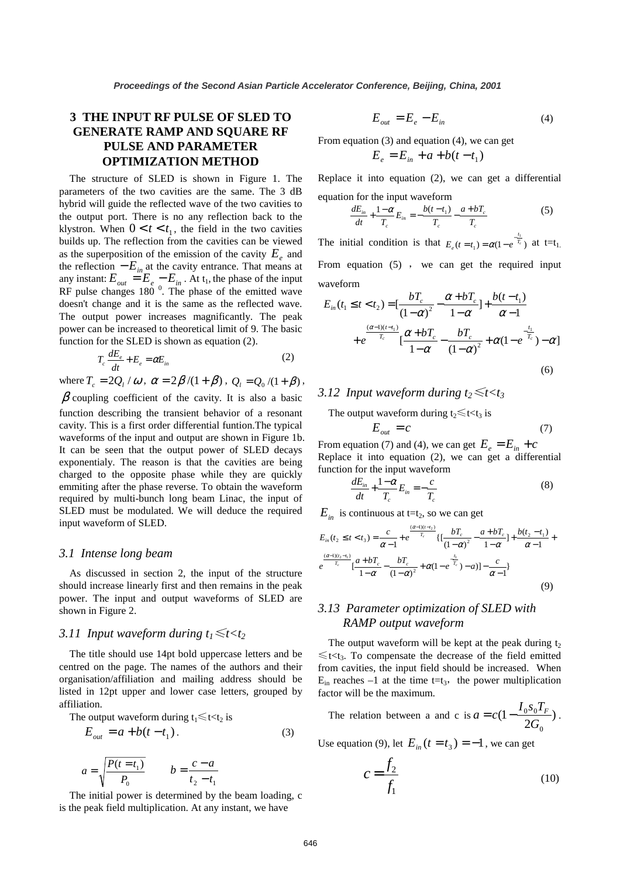# **3 THE INPUT RF PULSE OF SLED TO GENERATE RAMP AND SQUARE RF PULSE AND PARAMETER OPTIMIZATION METHOD**

The structure of SLED is shown in Figure 1. The parameters of the two cavities are the same. The 3 dB hybrid will guide the reflected wave of the two cavities to the output port. There is no any reflection back to the klystron. When  $0 < t < t_1$ , the field in the two cavities builds up. The reflection from the cavities can be viewed as the superposition of the emission of the cavity  $E_{\rho}$  and the reflection  $-E_{in}$  at the cavity entrance. That means at any instant:  $E_{out} = E_e - E_{in}$ . At t<sub>1</sub>, the phase of the input RF pulse changes  $180^\circ$ . The phase of the emitted wave doesn't change and it is the same as the reflected wave. The output power increases magnificantly. The peak power can be increased to theoretical limit of 9. The basic function for the SLED is shown as equation (2).

$$
T_c \frac{dE_e}{dt} + E_e = \alpha E_{in}
$$
 (2)

where  $T_c = 2Q_l / \omega$ ,  $\alpha = 2\beta/(1+\beta)$ ,  $Q_l = Q_0/(1+\beta)$ ,  $\beta$  coupling coefficient of the cavity. It is also a basic function describing the transient behavior of a resonant cavity. This is a first order differential funtion.The typical waveforms of the input and output are shown in Figure 1b. It can be seen that the output power of SLED decays exponentialy. The reason is that the cavities are being charged to the opposite phase while they are quickly emmiting after the phase reverse. To obtain the waveform required by multi-bunch long beam Linac, the input of SLED must be modulated. We will deduce the required input waveform of SLED.

### *3.1 Intense long beam*

As discussed in section 2, the input of the structure should increase linearly first and then remains in the peak power. The input and output waveforms of SLED are shown in Figure 2.

## *3.11 Input waveform during*  $t_1 \leq t < t_2$

The title should use 14pt bold uppercase letters and be centred on the page. The names of the authors and their organisation/affiliation and mailing address should be listed in 12pt upper and lower case letters, grouped by affiliation.

The output waveform during 
$$
t_1 \leq t < t_2
$$
 is

$$
E_{out} = a + b(t - t_1).
$$
 (3)

$$
a = \sqrt{\frac{P(t = t_1)}{P_0}} \qquad b = \frac{c - a}{t_2 - t_1}
$$

The initial power is determined by the beam loading, c is the peak field multiplication. At any instant, we have

$$
E_{out} = E_e - E_{in}
$$
 (4)

From equation (3) and equation (4), we can get

$$
E_e = E_{in} + a + b(t - t_1)
$$

Replace it into equation (2), we can get a differential equation for the input waveform

$$
\frac{dE_{in}}{dt} + \frac{1-\alpha}{T_c}E_{in} = -\frac{b(t-t_1)}{T_c} - \frac{a+bT_c}{T_c}
$$
(5)

The initial condition is that  $E_e(t=t_1) = \alpha(1 - e^{-\frac{t_1}{T_c}})$  $\alpha_{1}$ ) =  $\alpha(1-e^{-\frac{t_{1}}{T_{c}}}$  $E_e(t = t_1) = \alpha(1 - e^{-\frac{t_1}{T_e}})$  at t=t<sub>1</sub>. From equation  $(5)$ , we can get the required input waveform

$$
E_{in}(t_{1} \leq t < t_{2}) = \left[\frac{bT_{c}}{(1-\alpha)^{2}} - \frac{\alpha + bT_{c}}{1-\alpha}\right] + \frac{b(t-t_{1})}{\alpha - 1} + e^{\frac{(\alpha - 1)(t-t_{1})}{T_{c}}} \left[\frac{\alpha + bT_{c}}{1-\alpha} - \frac{bT_{c}}{(1-\alpha)^{2}} + \alpha(1 - e^{\frac{-t_{1}}{T_{c}}}) - \alpha\right]
$$
\n(6)

## *3.12 Input waveform during t* $5 \le t \le t_3$

The output waveform during  $t_2 \le t < t_3$  is

$$
E_{out} = c \tag{7}
$$

From equation (7) and (4), we can get  $E_e = E_{in} + c$ Replace it into equation (2), we can get a differential function for the input waveform

$$
\frac{dE_{in}}{dt} + \frac{1-\alpha}{T_c}E_{in} = -\frac{c}{T_c}
$$
\n(8)

 $E_{in}$  is continuous at t=t<sub>2</sub>, so we can get

$$
E_{in}(t_{2} \leq t < t_{3}) = \frac{c}{\alpha - 1} + e^{\frac{(\alpha - 1)(t - t_{2})}{T_{c}}} \{ [\frac{bT_{c}}{(1 - \alpha)^{2}} - \frac{a + bT_{c}}{1 - \alpha}] + \frac{b(t_{2} - t_{1})}{\alpha - 1} + \frac{(\alpha - 1)(t_{2} - t_{1})}{T_{c}} \} - \frac{bT_{c}}{1 - \alpha} - \frac{bT_{c}}{(1 - \alpha)^{2}} + \alpha(1 - e^{\frac{t_{1}}{T_{c}}}) - a) \} - \frac{c}{\alpha - 1} \}
$$
\n(9)

# *3.13 Parameter optimization of SLED with RAMP output waveform*

The output waveform will be kept at the peak during  $t_2$  $\leq t < t_3$ . To compensate the decrease of the field emitted from cavities, the input field should be increased. When  $E_{\text{in}}$  reaches  $-1$  at the time t=t<sub>3</sub>, the power multiplication factor will be the maximum.

The relation between a and c is 
$$
a = c(1 - \frac{I_0 s_0 T_F}{2G_0})
$$
.

Use equation (9), let  $E_{in}$   $(t = t_3) = -1$ , we can get

$$
c = \frac{f_2}{f_1} \tag{10}
$$